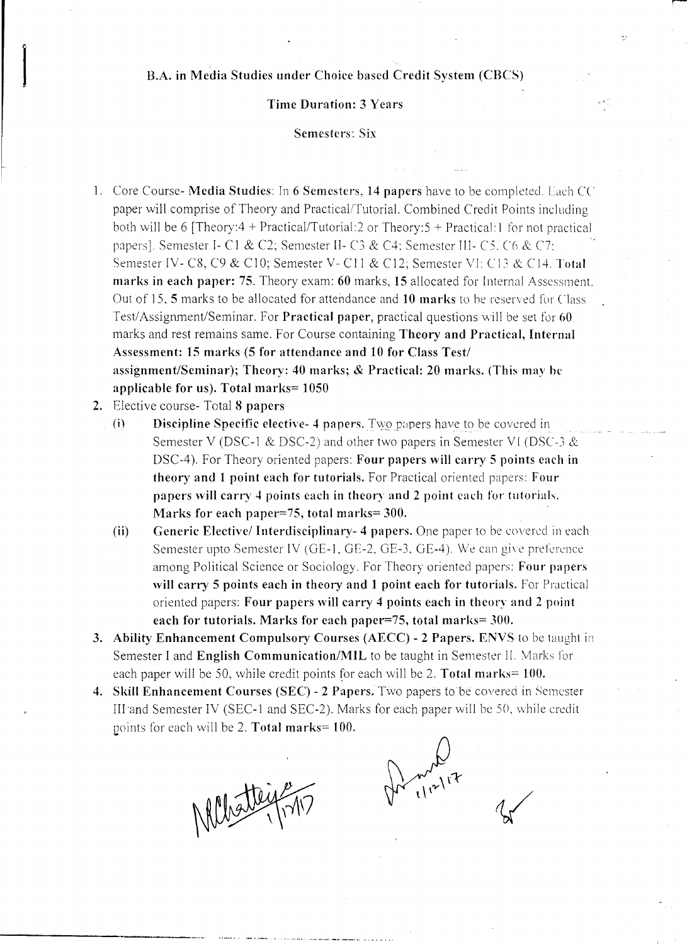## B.A. in Media Studies under Choice based Credit System (CBCS)

## Time Duration: 3 Years

#### Semesters: Six

- 1. Core Course- Media Studies: In 6 Semesters, 14 papers have to be completed, lach *CC* paper will comprise of Theory and Practical/Tutorial. Combined Credit Points including both will be 6 [Theory:4 + Practical/Tutorial:2 or Theory:5 + Practical:1 for not practical papers], Semester 1- C1 & *C2;* Semester IJ- C3 & *C4;* Semester 111- C5. ('6 & C7: Semester rv- *C8,* C9 & *CI0;* Semester V- *C11* & *C12;* Semester VI: C13 & C14, Total marks in each paper: 75. Theory exam: 60 marks, 15 allocated for Internal Assessment. Out of 15, 5 marks to be allocated for attendance and 10 marks to he reserved for Class Test/Assignment/Seminar. For Practical paper, practical questions will be set for 60 marks and rest remains same. For Course containing Theory and Practical, Internal Assessment: 15 marks (5 for attendance and 10 for Class Test/ assignment/Seminar); Theory: 40 marks; & Practical: 20 marks. (This may be applicable for us). Total marks= 1050
- 2. Elective course- Total 8 papers
	- (i) **Discipline Specific elective- 4 papers.** Two papers have to be covered in Semester V (DSC-1 & DSC-2) and other two papers in Semester VI (DSC-3  $\&$ DSC-4). For Theory oriented papers: Four papers will carry 5 points each in theory and 1 point each for tutorials. For Practical oriented papers: Four papers will carry 4 points each in theory and 2 point each for tutorials. Marks for each paper=75, total marks= 300.
	- (ii) Generic Elective/ Interdisciplinary- 4 papers. One paper to be covered in each Semester upto Semester IV (GE-I, GE-2, GE-3, GE-4), We can give preference among Political Science or Sociology. For Theory oriented papers: Four papers will carry 5 points each in theory and 1 point each for tutorials. For Practical oriented papers: Four papers will carry 4 points each in theory and 2 point each for tutorials. Marks for each paper=75, total marks= 300.
- 3. Ability Enhancement Compulsory Courses (AECC) 2 Papers. ENVS to be taught in Semester I and English Communication/MIL to be taught in Semester II. Marks for each paper will be 50, while credit points for each will be 2. Total marks= 100.
- 4. Skill Enhancement Courses (SEC) 2 Papers. Two papers to be covered in Semester III and Semester IV (SEC-1 and SEC-2). Marks for each paper will be 50, while credit points for each will be 2. Total marks=  $100$ .

Metteigen

 $m_{\mu\nu}^{\nu}$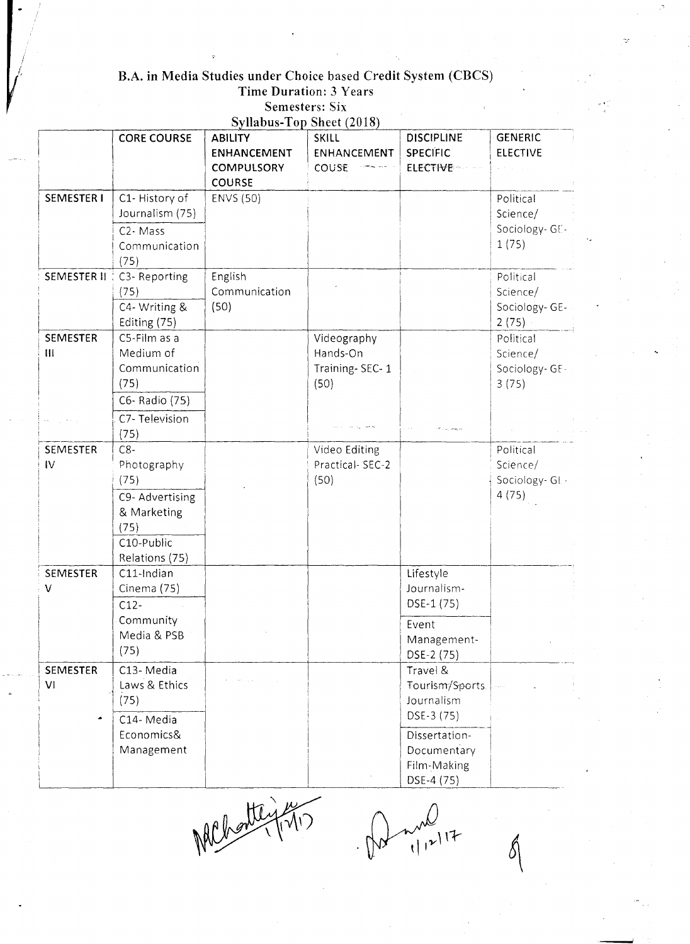# B.A. in Media Studies under Choice based Credit System (CBCS)<br>Time Duration: 3 Years<br>Semesters: Six

|                   | <b>CORE COURSE</b>                 | <b>ABILITY</b>     | <b>Syllabus-Top Sheet (2018)</b><br>SKILL | <b>DISCIPLINE</b> | <b>GENERIC</b>  |
|-------------------|------------------------------------|--------------------|-------------------------------------------|-------------------|-----------------|
|                   |                                    | <b>ENHANCEMENT</b> | ENHANCEMENT                               | <b>SPECIFIC</b>   | <b>ELECTIVE</b> |
|                   |                                    | <b>COMPULSORY</b>  | COUSE                                     | <b>ELECTIVE</b>   |                 |
|                   |                                    | <b>COURSE</b>      |                                           |                   |                 |
| <b>SEMESTER I</b> | C1-History of                      | <b>ENVS (50)</b>   |                                           |                   | Political       |
|                   | Journalism (75)                    |                    |                                           |                   | Science/        |
|                   | C <sub>2</sub> - Mass              |                    |                                           |                   | Sociology-GE-   |
|                   | Communication                      |                    |                                           |                   | 1(75)           |
|                   | (75)                               |                    |                                           |                   |                 |
|                   | <b>SEMESTER II   C3- Reporting</b> | English            |                                           |                   | Political       |
|                   | (75)                               | Communication      |                                           |                   | Science/        |
|                   | C4- Writing &                      | (50)               |                                           |                   | Sociology-GE-   |
|                   | Editing (75)                       |                    |                                           |                   | 2(75)           |
| <b>SEMESTER</b>   | C5-Film as a                       |                    | Videography                               |                   | Political       |
| $\mathbf{H}$      | Medium of                          |                    | Hands-On                                  |                   | Science/        |
|                   | Communication                      |                    | Training-SEC-1                            |                   | Sociology-GE-   |
|                   | (75)                               |                    | (50)                                      |                   | 3(75)           |
|                   | C6- Radio (75)                     |                    |                                           |                   |                 |
|                   | C7-Television                      |                    |                                           |                   |                 |
|                   | (75)                               |                    |                                           |                   |                 |
| SEMESTER          | $C8-$                              |                    | Video Editing                             |                   | Political       |
| IV                | Photography                        |                    | Practical-SEC-2                           |                   | Science/        |
|                   | (75)                               |                    | (50)                                      |                   | Sociology-GL-   |
|                   | C9- Advertising                    |                    |                                           |                   | 4(75)           |
|                   | & Marketing                        |                    |                                           |                   |                 |
|                   | (75)                               |                    |                                           |                   |                 |
|                   | C10-Public                         |                    |                                           |                   |                 |
|                   | Relations (75)                     |                    |                                           |                   |                 |
| SEMESTER          | C11-Indian                         |                    |                                           | Lifestyle         |                 |
| ۷                 | Cinema (75)                        |                    |                                           | Journalism-       |                 |
|                   | $C12-$                             |                    |                                           | DSE-1 (75)        |                 |
|                   | Community                          |                    |                                           | Event             |                 |
|                   | Media & PSB                        |                    |                                           | Management-       |                 |
|                   | (75)                               |                    |                                           | DSE-2 (75)        |                 |
| <b>SEMESTER</b>   | C13-Media                          |                    |                                           | Travel &          |                 |
| VI                | Laws & Ethics                      |                    |                                           | Tourism/Sports.   |                 |
|                   | (75)                               |                    |                                           | Journalism        |                 |
|                   | C14-Media                          |                    |                                           | DSE-3 (75)        |                 |
|                   | Economics&                         |                    |                                           | Dissertation-     |                 |
|                   | Management                         |                    |                                           | Documentary       |                 |
|                   |                                    |                    |                                           | Film-Making       |                 |
|                   |                                    |                    |                                           | DSE-4 (75)        |                 |

NAChontey

 $\frac{1}{(1+1)^{2}}$